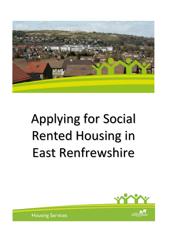

# Applying for Social Rented Housing in East Renfrewshire



**Housing Services**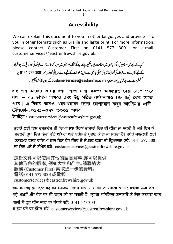# **Accessibility**

We can explain this document to you in other languages and provide it to you in other formats such as Braille and large print. For more information, please contact Customer First on 0141 577 3001 or e-mail: customerservices@eastrenfrewshire.gov.uk.

آپ کے لیےاس دستاویز کی دیگر زبانوں میں دضاحت کی جاسکتی ہےاور پید یگرمخلف صورتوں میں جیسا کہ بڑے حروف کی لکھائی اور بریل (نابیبناافراد کے لیے اُنجرےہوئے حروف کی لکھائی) میں فراہم کی جاسکتی ہے۔مزید معلومات کے لیے برائے مہربانی ٹیلیفون نمبر 3001 577 5141 پہ سٹم فرسٹ سے رابط کریں یا customerservices@eastrenfrewshire.gov.uk\_ کے پیدیرای میل بھیجیں۔

এ২ পত্র অন্যান্য ভাষায় বণনা ছাড়া নানা বিকল্প আকারেও দেয়া যেতে পারে যথা – বড় ছাপান অক্ষরে এবং উঁচু গঠিত বর্ণমালায়ও (Braille) দেয়া যেতে পারে। এ বিষয়ে আরও খবরাখবরের জন্যে যোগাযোগ করুন কাউৌমার ফর্ষি টেলিফোন: ০১৪১–৫৭৭ ৩০০১ অথবা

ইমেইল: customerservices@eastrenfrewshire.gov.uk

ਤੁਹਾਡੇ ਲਈ ਇਸ ਦਸਤਾਵੇਜ਼ ਦੀ ਵਿਆਖਿਆ ਹੋਰਨਾਂ ਭਾਸ਼ਾਵਾਂ ਵਿਚ ਵੀ ਕੀਤੀ ਜਾ ਸਕਦੀ ਹੈ ਅਤੇ ਇਸ ਨੂੰ ਬਦਲਵੇਂ ਰੂਪਾਂ ਵਿਚ ਜਿਵੇਂ ਵੱਡੇ ਅੱਖਰਾਂ ਅਤੇ ਬਰੇਲ ਤੇ ਪ੍ਰਦਾਨ ਕੀਤਾ ਜਾ ਸਕਦਾ ਹੈ। ਵਧੇਰੇ ਜਾਣਕਾਰੀ ਲਈ ਕਸਟਮਰ ਫਸਟ ਵਾਲਿਆਂ ਨਾਲ ਇਸ ਫੋਨ ਨੰਬਰ ਤੇ ਸੰਪਰਕ ਕਰਨ ਦੀ ਕ੍ਰਿਪਾਲਤਾ ਕਰੋ: 0141 577 3001 ਜਾਂ ਇਸ ਪਤੇ ਤੇ ਈਮੇਲ ਕਰੋ: customerservices@eastrenfrewshire.gov.uk

這份文件可以使用其他的語言解釋,亦可以提供 其他形色的版本, 例如大字和凸字。請聯絡客 服務 (Customer First) 索取進一步的資料。 電話:0141 577 3001或電郵 customerservices@eastrenfrewshire.gov.uk

आप क ालए इस दस्तावज़ का व्याख्या अन्य भाषाआ म का जा सकता ह आर बदलव रूपा जस बड़े अक्षरों और ब्रेल पर भी प्रदान की जा सकती है। कृप्या अतिरिक्त जानकारी के लिए कस्टमर फस्ट वालों से इस फोन नंबर पर संपर्क करें: 0141 577 3001 व इस पते पर ईमेल करें: customerservices@eastrenfrewshire.gov.uk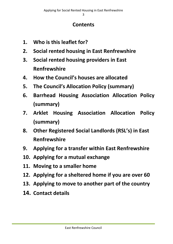## **Contents**

- **1. Who is this leaflet for?**
- **2. Social rented housing in East Renfrewshire**
- **3. Social rented housing providers in East Renfrewshire**
- **4. How the Council's houses are allocated**
- **5. The Council's Allocation Policy (summary)**
- **6. Barrhead Housing Association Allocation Policy (summary)**
- **7. Arklet Housing Association Allocation Policy (summary)**
- **8. Other Registered Social Landlords (RSL's) in East Renfrewshire**
- **9. Applying for a transfer within East Renfrewshire**
- **10. Applying for a mutual exchange**
- **11. Moving to a smaller home**
- **12. Applying for a sheltered home if you are over 60**
- **13. Applying to move to another part of the country**
- **14. Contact details**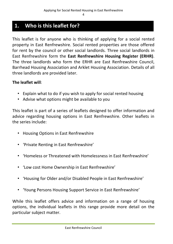## **1. Who is this leaflet for?**

This leaflet is for anyone who is thinking of applying for a social rented property in East Renfrewshire. Social rented properties are those offered for rent by the council or other social landlords. Three social landlords in East Renfrewshire form the **East Renfrewshire Housing Register (ERHR)**. The three landlords who form the ERHR are East Renfrewshire Council, Barrhead Housing Association and Arklet Housing Association. Details of all three landlords are provided later.

#### **The leaflet will**:

- Explain what to do if you wish to apply for social rented housing
- Advise what options might be available to you

This leaflet is part of a series of leaflets designed to offer information and advice regarding housing options in East Renfrewshire. Other leaflets in the series include:

- Housing Options in East Renfrewshire
- 'Private Renting in East Renfrewshire'
- 'Homeless or Threatened with Homelessness in East Renfrewshire'
- 'Low cost Home Ownership in East Renfrewshire'
- 'Housing for Older and/or Disabled People in East Renfrewshire'
- 'Young Persons Housing Support Service in East Renfrewshire'

While this leaflet offers advice and information on a range of housing options, the individual leaflets in this range provide more detail on the particular subject matter.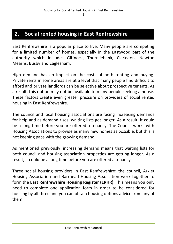## **2. Social rented housing in East Renfrewshire**

East Renfrewshire is a popular place to live. Many people are competing for a limited number of homes, especially in the Eastwood part of the authority which includes Giffnock, Thornliebank, Clarkston, Newton Mearns, Busby and Eaglesham.

High demand has an impact on the costs of both renting and buying. Private rents in some areas are at a level that many people find difficult to afford and private landlords can be selective about prospective tenants. As a result, this option may not be available to many people seeking a house. These factors create even greater pressure on providers of social rented housing in East Renfrewshire.

The council and local housing associations are facing increasing demands for help and as demand rises, waiting lists get longer. As a result, it could be a long time before you are offered a tenancy. The Council works with Housing Associations to provide as many new homes as possible, but this is not keeping pace with the growing demand.

As mentioned previously, increasing demand means that waiting lists for both council and housing association properties are getting longer. As a result, it could be a long time before you are offered a tenancy.

Three social housing providers in East Renfrewshire: the council, Arklet Housing Association and Barrhead Housing Association work together to form the **East Renfrewshire Housing Register (ERHR)**. This means you only need to complete one application form in order to be considered for housing by all three and you can obtain housing options advice from any of them.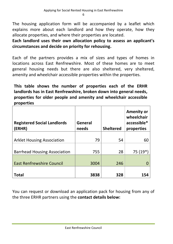The housing application form will be accompanied by a leaflet which explains more about each landlord and how they operate, how they allocate properties, and where their properties are located.

**Each landlord uses their own allocation policy to assess an applicant's circumstances and decide on priority for rehousing.**

Each of the partners provides a mix of sizes and types of homes in locations across East Renfrewshire. Most of these homes are to meet general housing needs but there are also sheltered, very sheltered, amenity and wheelchair accessible properties within the properties.

**This table shows the number of properties each of the ERHR landlords has in East Renfrewshire, broken down into general needs, properties for older people and amenity and wheelchair accessible properties**

| <b>Registered Social Landlords</b><br>(ERHR) | General<br>needs | <b>Sheltered</b> | <b>Amenity or</b><br>wheelchair<br>accessible*<br>properties |
|----------------------------------------------|------------------|------------------|--------------------------------------------------------------|
| <b>Arklet Housing Association</b>            | 79               | 54               | 60                                                           |
| <b>Barrhead Housing Association</b>          | 755              | 28               | $75(19*)$                                                    |
| <b>East Renfrewshire Council</b>             | 3004             | 246              |                                                              |
| Total                                        | 3838             | 328              |                                                              |

You can request or download an application pack for housing from any of the three ERHR partners using the **contact details below:**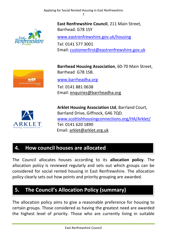

**East Renfrewshire Council**, 211 Main Street, Barrhead. G78 1SY

[www.eastrenfrewshire.gov.uk/housing](http://www.eastrenfrewshire.gov.uk/housing)

Tel: 0141 577 3001 Email: [customerfirst@eastrenfrewshire.gov.uk](mailto:customerfirst@eastrenfrewshire.gov.uk)



**Barrhead Housing Association**, 60-70 Main Street, Barrhead G78 1SB.

[www.barrheadha.org](http://www.barrheadha.org/)

Tel: 0141 881 0638 Email: [enquiries@barrheadha.org](mailto:enquiries@barrheadha.org)



**Arklet Housing Association Ltd**, Barrland Court, Barrland Drive, Giffnock, G46 7QD. [www.scottishhousingconnections.org/HA/Arklet/](http://www.scottishhousingconnections.org/HA/Arklet/) Tel: 0141 620 1890 Email: [arklet@arklet.org.uk](mailto:arklet@arklet.org.uk)

## **4. How council houses are allocated**

The Council allocates houses according to its **allocation policy**. The allocation policy is reviewed regularly and sets out which groups can be considered for social rented housing in East Renfrewshire. The allocation policy clearly sets out how points and priority grouping are awarded.

# **5. The Council's Allocation Policy (summary)**

The allocation policy aims to give a reasonable preference for housing to certain groups. Those considered as having the greatest need are awarded the highest level of priority. Those who are currently living in suitable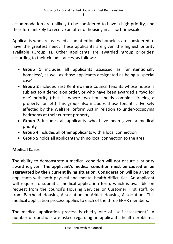accommodation are unlikely to be considered to have a high priority, and therefore unlikely to receive an offer of housing in a short timescale.

Applicants who are assessed as unintentionally homeless are considered to have the greatest need. These applicants are given the highest priority available (Group 1). Other applicants are awarded 'group priorities' according to their circumstances, as follows:

- **Group 1** includes all applicants assessed as 'unintentionally homeless', as well as those applicants designated as being a 'special case'.
- **Group 2** includes East Renfrewshire Council tenants whose house is subject to a demolition order, or who have been awarded a 'two for one' priority (that is, where two households combine, freeing a property for let.) This group also includes those tenants adversely affected by the Welfare Reform Act in relation to under-occupying bedrooms at their current property.
- **Group 3** includes all applicants who have been given a medical priority
- **Group 4** includes all other applicants with a local connection
- **Group 5** holds all applicants with no local connection to the area.

#### **Medical Cases**

The ability to demonstrate a medical condition will not ensure a priority award is given. **The applicant's medical condition must be caused or be aggravated by their current living situation.** Consideration will be given to applicants with both physical and mental health difficulties. An applicant will require to submit a medical application form, which is available on request from the council's Housing Services or Customer First staff, or from Barrhead Housing Association or Arklet Housing Association. This medical application process applies to each of the three ERHR members.

The medical application process is chiefly one of "self-assessment". A number of questions are asked regarding an applicant's health problems.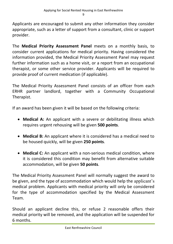Applicants are encouraged to submit any other information they consider appropriate, such as a letter of support from a consultant, clinic or support provider.

The **Medical Priority Assessment Panel** meets on a monthly basis, to consider current applications for medical priority. Having considered the information provided, the Medical Priority Assessment Panel may request further information such as a home visit, or a report from an occupational therapist, or some other service provider. Applicants will be required to provide proof of current medication (if applicable).

The Medical Priority Assessment Panel consists of an officer from each ERHR partner landlord, together with a Community Occupational Therapist.

If an award has been given it will be based on the following criteria:

- **Medical A:** An applicant with a severe or debilitating illness which requires urgent rehousing will be given **500 points**.
- **Medical B:** An applicant where it is considered has a medical need to be housed quickly, will be given **250 points**.
- **Medical C:** An applicant with a non-serious medical condition, where it is considered this condition may benefit from alternative suitable accommodation, will be given **50 points**.

The Medical Priority Assessment Panel will normally suggest the award to be given, and the type of accommodation which would help the applicant's medical problem. Applicants with medical priority will only be considered for the type of accommodation specified by the Medical Assessment Team.

Should an applicant decline this, or refuse 2 reasonable offers their medical priority will be removed, and the application will be suspended for 6 months.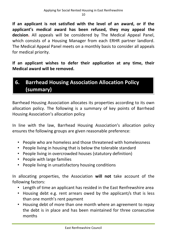**If an applicant is not satisfied with the level of an award, or if the applicant's medical award has been refused, they may appeal the decision.** All appeals will be considered by The Medical Appeal Panel, which consists of a Housing Manager from each ERHR partner landlord. The Medical Appeal Panel meets on a monthly basis to consider all appeals for medical priority.

**If an applicant wishes to defer their application at any time, their Medical award will be removed.**

# **6. Barrhead Housing Association Allocation Policy (summary)**

Barrhead Housing Association allocates its properties according to its own allocation policy. The following is a summary of key points of Barrhead Housing Association's allocation policy

In line with the law, Barrhead Housing Association's allocation policy ensures the following groups are given reasonable preference:

- People who are homeless and those threatened with homelessness
- People living in housing that is below the tolerable standard
- People living in overcrowded houses (statutory definition)
- People with large families
- People living in unsatisfactory housing conditions

In allocating properties, the Association **will not** take account of the following factors:

- Length of time an applicant has resided in the East Renfrewshire area
- Housing debt e.g. rent arrears owed by the applicant/s that is less than one month's rent payment
- Housing debt of more than one month where an agreement to repay the debt is in place and has been maintained for three consecutive months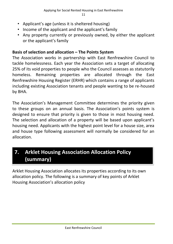- Applicant's age (unless it is sheltered housing)
- Income of the applicant and the applicant's family
- Any property currently or previously owned, by either the applicant or the applicant's family

#### **Basis of selection and allocation – The Points System**

The Association works in partnership with East Renfrewshire Council to tackle homelessness. Each year the Association sets a target of allocating 25% of its void properties to people who the Council assesses as statutorily homeless. Remaining properties are allocated through the East Renfrewshire Housing Register (ERHR) which contains a range of applicants including existing Association tenants and people wanting to be re-housed by BHA.

The Association's Management Committee determines the priority given to these groups on an annual basis. The Association's points system is designed to ensure that priority is given to those in most housing need. The selection and allocation of a property will be based upon applicant's housing need. Applicants with the highest point level for a house size, area and house type following assessment will normally be considered for an allocation.

# **7. Arklet Housing Association Allocation Policy (summary)**

Arklet Housing Association allocates its properties according to its own allocation policy. The following is a summary of key points of Arklet Housing Association's allocation policy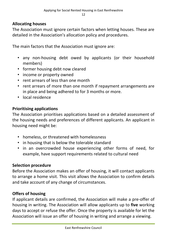#### **Allocating houses**

The Association must ignore certain factors when letting houses. These are detailed in the Association's allocation policy and procedures.

The main factors that the Association must ignore are:

- any non-housing debt owed by applicants (or their household members)
- former housing debt now cleared
- income or property owned
- rent arrears of less than one month
- rent arrears of more than one month if repayment arrangements are in place and being adhered to for 3 months or more.
- local residence

#### **Prioritising applications**

The Association prioritises applications based on a detailed assessment of the housing needs and preferences of different applicants. An applicant in housing need might be:

- homeless, or threatened with homelessness
- in housing that is below the tolerable standard
- in an overcrowded house experiencing other forms of need, for example, have support requirements related to cultural need

#### **Selection procedure**

Before the Association makes an offer of housing, it will contact applicants to arrange a home visit. This visit allows the Association to confirm details and take account of any change of circumstances.

#### **Offers of housing**

If applicant details are confirmed, the Association will make a pre-offer of housing in writing. The Association will allow applicants up to **five** working days to accept or refuse the offer. Once the property is available for let the Association will issue an offer of housing in writing and arrange a viewing.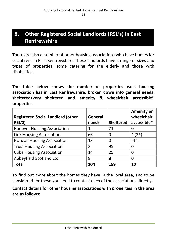# **8. Other Registered Social Landlords (RSL's) in East Renfrewshire**

There are also a number of other housing associations who have homes for social rent in East Renfrewshire. These landlords have a range of sizes and types of properties, some catering for the elderly and those with disabilities.

**The table below shows the number of properties each housing association has in East Renfrewshire, broken down into general needs, sheltered/very sheltered and amenity & wheelchair accessible\* properties**

| <b>Registered Social Landlord (other</b> | <b>General</b> |                  | <b>Amenity or</b><br>wheelchair |
|------------------------------------------|----------------|------------------|---------------------------------|
| RSL'S)                                   | needs          | <b>Sheltered</b> | accessible*                     |
| <b>Hanover Housing Association</b>       | 1              | 71               |                                 |
| <b>Link Housing Association</b>          | 66             | $\Omega$         | $4(2^*)$                        |
| <b>Horizon Housing Association</b>       | 13             | $\overline{0}$   | $(4^*)$                         |
| <b>Trust Housing Association</b>         | $\overline{2}$ | 95               |                                 |
| <b>Cube Housing Association</b>          | 14             | 25               | 0                               |
| Abbeyfield Scotland Ltd                  | 8              | 8                | 0                               |
| <b>Total</b>                             | 104            | 199              | 10                              |

To find out more about the homes they have in the local area, and to be considered for these you need to contact each of the associations directly.

**Contact details for other housing associations with properties in the area are as follows:**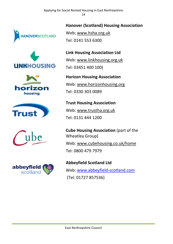Applying for Social Rented Housing in East Renfrewshire 14













**Hanover (Scotland) Housing Association** Web; [www.hsha.org.uk](http://www.hsha.org.uk/)  Tel: 0141 553 6300

**Link Housing Association Ltd**  Web: [www.linkhousing.org.uk](http://www.linkhousing.org.uk/) Tel: 03451 400 100)

**Horizon Housing Association** Web: [www.horizonhousing.org](http://www.horizonhousing.org/) Tel: 0330 303 0089

**Trust Housing Association** Web: [www.trustha.org.uk](http://www.trustha.org.uk/) Tel: 0131 444 1200

**Cube Housing Association** (part of the Wheatley Group) Web: [www.cubehousing.co.uk/home](http://www.cubehousing.co.uk/home) Tel: 0800 479 7979

**Abbeyfield Scotland Ltd** Web: [www.abbeyfield-scotland.com](http://www.abbeyfield-scotland.com/) (Tel: 01727 857536)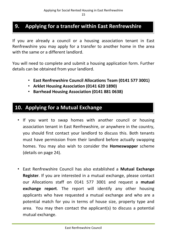## **9. Applying for a transfer within East Renfrewshire**

If you are already a council or a housing association tenant in East Renfrewshire you may apply for a transfer to another home in the area with the same or a different landlord.

You will need to complete and submit a housing application form. Further details can be obtained from your landlord.

- **East Renfrewshire Council Allocations Team (0141 577 3001)**
- **Arklet Housing Association (0141 620 1890)**
- **Barrhead Housing Association (0141 881 0638)**

# **10. Applying for a Mutual Exchange**

- If you want to swap homes with another council or housing association tenant in East Renfrewshire, or anywhere in the country, you should first contact your landlord to discuss this. Both tenants must have permission from their landlord before actually swapping homes. You may also wish to consider the **Homeswapper** scheme (details on page 24).
- East Renfrewshire Council has also established a **Mutual Exchange Register**. If you are interested in a mutual exchange, please contact our Allocations staff on 0141 577 3001 and request a **mutual exchange report**. The report will identify any other housing applicants who have requested a mutual exchange and who are a potential match for you in terms of house size, property type and area. You may then contact the applicant(s) to discuss a potential mutual exchange.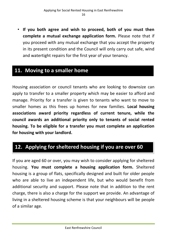• **If you both agree and wish to proceed, both of you must then complete a mutual exchange application form.** Please note that if you proceed with any mutual exchange that you accept the property in its present condition and the Council will only carry out safe, wind and watertight repairs for the first year of your tenancy.

## **11. Moving to a smaller home**

Housing association or council tenants who are looking to downsize can apply to transfer to a smaller property which may be easier to afford and manage. Priority for a transfer is given to tenants who want to move to smaller homes as this frees up homes for new families. **Local housing associations award priority regardless of current tenure, while the council awards an additional priority only to tenants of social rented housing. To be eligible for a transfer you must complete an application for housing with your landlord.**

# **12. Applying for sheltered housing if you are over 60**

If you are aged 60 or over, you may wish to consider applying for sheltered housing. **You must complete a housing application form.** Sheltered housing is a group of flats, specifically designed and built for older people who are able to live an independent life, but who would benefit from additional security and support. Please note that in addition to the rent charge, there is also a charge for the support we provide. An advantage of living in a sheltered housing scheme is that your neighbours will be people of a similar age.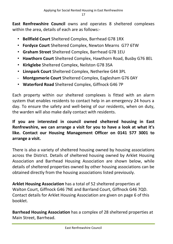**East Renfrewshire Council** owns and operates 8 sheltered complexes within the area, details of each are as follows:-

- **Bellfield Court** Sheltered Complex, Barrhead G78 1RX
- **Fordyce Court** Sheltered Complex, Newton Mearns G77 6TW
- **Graham Street** Sheltered Complex, Barrhead G78 1EU
- **Hawthorn Court** Sheltered Complex, Hawthorn Road, Busby G76 8EL
- **Kirkglebe** Sheltered Complex, Neilston G78 3SA
- **Linnpark Court** Sheltered Complex, Netherlee G44 3PL
- **Montgomerie Court** Sheltered Complex, Eaglesham G76 0AY
- **Waterford Road** Sheltered Complex, Giffnock G46 7P

Each property within our sheltered complexes is fitted with an alarm system that enables residents to contact help in an emergency 24 hours a day. To ensure the safety and well-being of our residents, when on duty, the warden will also make daily contact with residents.

#### **If you are interested in council owned sheltered housing in East Renfrewshire, we can arrange a visit for you to have a look at what it's like. Contact our Housing Management Officer on 0141 577 3001 to arrange a visit.**

There is also a variety of sheltered housing owned by housing associations across the District. Details of sheltered housing owned by Arklet Housing Association and Barrhead Housing Association are shown below, while details of sheltered properties owned by other housing associations can be obtained directly from the housing associations listed previously.

**Arklet Housing Association** has a total of 52 sheltered properties at Walton Court, Giffnock G46 7NE and Barrland Court, Giffnock G46 7QD. Contact details for Arklet Housing Association are given on page 6 of this booklet.

**Barrhead Housing Association** has a complex of 28 sheltered properties at Main Street, Barrhead.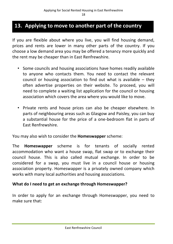## **13. Applying to move to another part of the country**

If you are flexible about where you live, you will find housing demand, prices and rents are lower in many other parts of the country. If you choose a low demand area you may be offered a tenancy more quickly and the rent may be cheaper than in East Renfrewshire.

- Some councils and housing associations have homes readily available to anyone who contacts them. You need to contact the relevant council or housing association to find out what is available – they often advertise properties on their website. To proceed, you will need to complete a waiting list application for the council or housing association which covers the area where you would like to move.
- Private rents and house prices can also be cheaper elsewhere. In parts of neighbouring areas such as Glasgow and Paisley, you can buy a substantial house for the price of a one-bedroom flat in parts of East Renfrewshire.

You may also wish to consider the **Homeswapper** scheme:

The **Homeswapper** scheme is for tenants of socially rented accommodation who want a house swap, flat swap or to exchange their council house. This is also called mutual exchange. In order to be considered for a swap, you must live in a council house or housing association property. Homeswapper is a privately owned company which works with many local authorities and housing associations.

#### **What do I need to get an exchange through Homeswapper?**

In order to apply for an exchange through Homeswapper, you need to make sure that: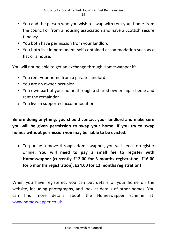- You and the person who you wish to swap with rent your home from the council or from a housing association and have a Scottish secure tenancy
- You both have permission from your landlord
- You both live in permanent, self-contained accommodation such as a flat or a house.

You will not be able to get an exchange through Homeswapper if:

- You rent your home from a private landlord
- You are an owner-occupier
- You own part of your home through a shared ownership scheme and rent the remainder
- You live in supported accommodation

**Before doing anything, you should contact your landlord and make sure you will be given permission to swap your home. If you try to swap homes without permission you may be liable to be evicted.**

 To pursue a move through Homeswapper, you will need to register online. **You will need to pay a small fee to register with Homeswapper (currently £12.00 for 3 months registration, £16.00 for 6 months registration), £24.00 for 12 months registration)**

When you have registered, you can put details of your home on the website, including photographs, and look at details of other homes. You can find more details about the Homeswapper scheme at: [www.homeswapper.co.uk](http://www.homeswapper.co.uk/)